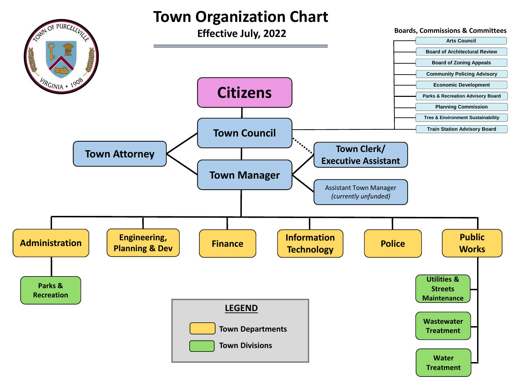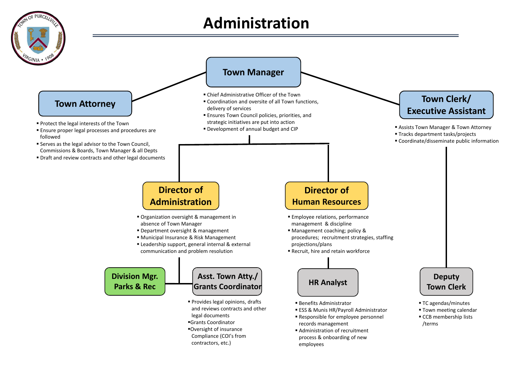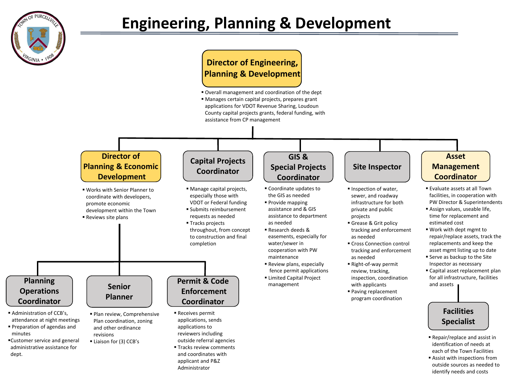

## **Director of Engineering, Planning & Development**

**D** Overall management and coordination of the dept ■ Manages certain capital projects, prepares grant applications for VDOT Revenue Sharing, Loudoun County capital projects grants, federal funding, with assistance from CP management

#### **Director of Planning & Economic Development**

- Works with Senior Planner to coordinate with developers, promote economic development within the Town
- Reviews site plans

## **Capital Projects Coordinator**

- Manage capital projects, especially those with VDOT or Federal funding
- **E** Submits reimbursement requests as needed
- Tracks projects throughout, from concept to construction and final completion

#### **Planning Operations Coordinator**

- **E** Administration of CCB's, attendance at night meetings
- Preparation of agendas and minutes
- ▪Customer service and general administrative assistance for dept.
- Plan review, Comprehensive Plan coordination, zoning and other ordinance revisions

**Senior Planner**

**Eliaison for (3) CCB's** 

# **Enforcement Coordinator**

**Permit & Code**

- Receives permit applications, sends applications to reviewers including outside referral agencies
- **Tracks review comments** and coordinates with applicant and P&Z Administrator

#### **GIS & Special Projects Coordinator**

- Coordinate updates to the GIS as needed ■ Provide mapping
- assistance and & GIS assistance to department as needed
- Research deeds & easements, especially for water/sewer in cooperation with PW maintenance
- Review plans, especially fence permit applications
- **ELimited Capital Project** management
- 

# **Site Inspector**

- **· Inspection of water,** sewer, and roadway infrastructure for both private and public projects
- Grease & Grit policy tracking and enforcement as needed
- Cross Connection control tracking and enforcement as needed
- Right-of-way permit review, tracking, inspection, coordination with applicants
- Paving replacement program coordination

#### **Asset Management Coordinator**

- Evaluate assets at all Town facilities, in cooperation with PW Director & Superintendents
- **B** Assign values, useable life, time for replacement and estimated cost
- Work with dept mgmt to repair/replace assets, track the replacements and keep the asset mgmt listing up to date
- **E** Serve as backup to the Site Inspector as necessary
- **E** Capital asset replacement plan for all infrastructure, facilities and assets

#### **Facilities Specialist**

- Repair/replace and assist in identification of needs at each of the Town Facilities
- Assist with inspections from outside sources as needed to identify needs and costs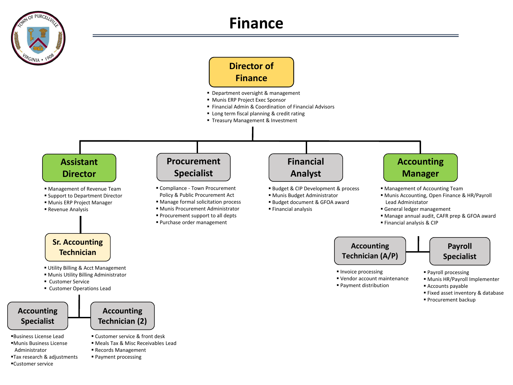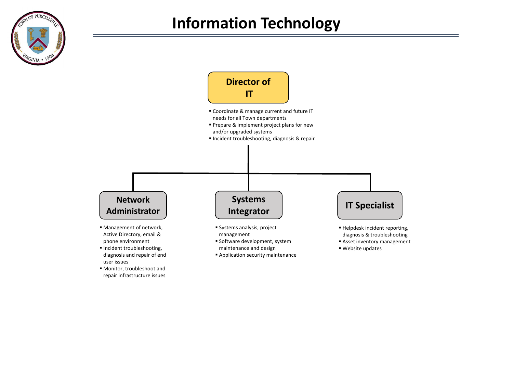



repair infrastructure issues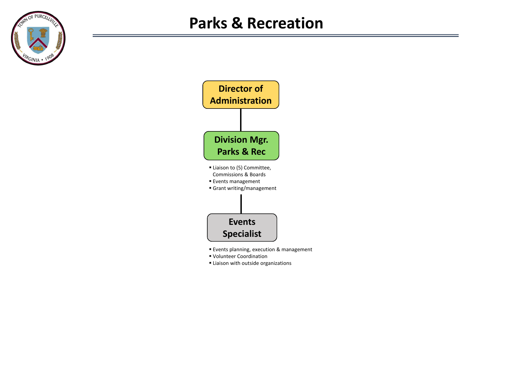



- Volunteer Coordination
- **E** Liaison with outside organizations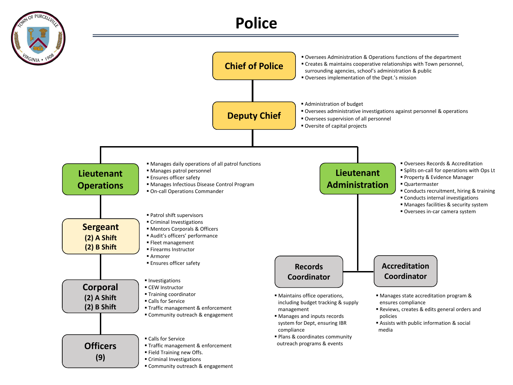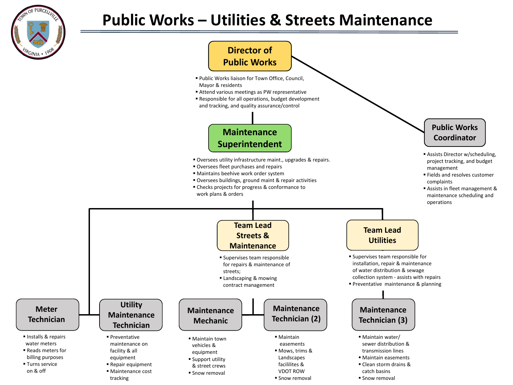

# **Public Works – Utilities & Streets Maintenance**

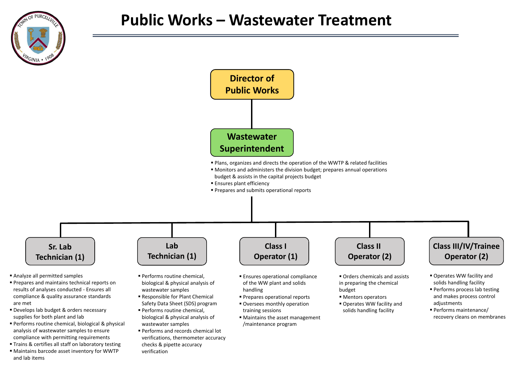